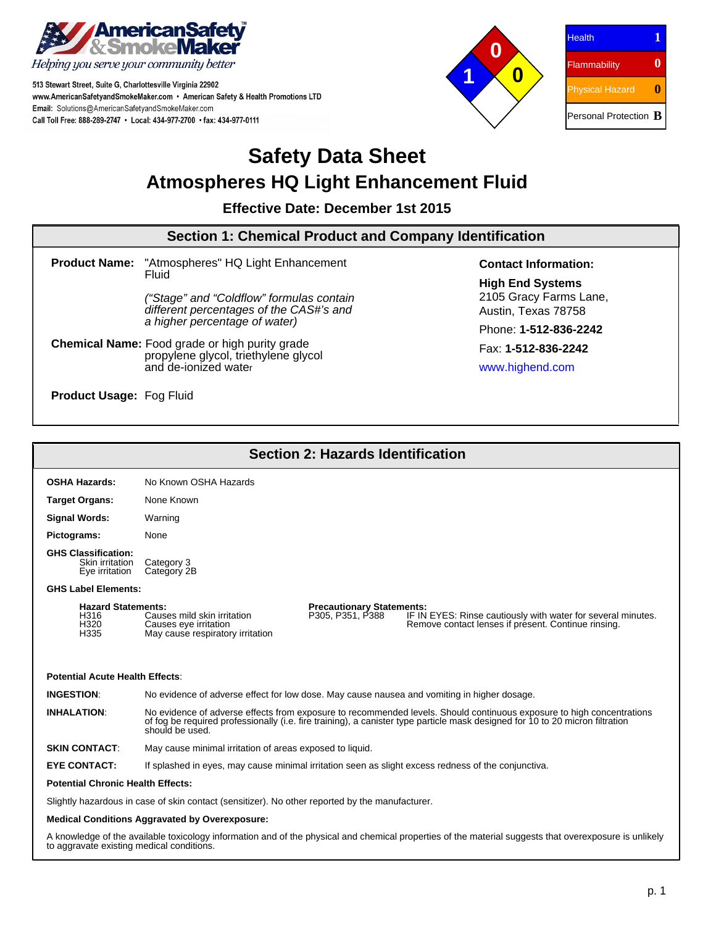

to aggravate existing medical conditions.

513 Stewart Street, Suite G, Charlottesville Virginia 22902 www.AmericanSafetyandSmokeMaker.com • American Safety & Health Promotions LTD Email: Solutions@AmericanSafetyandSmokeMaker.com Call Toll Free: 888-289-2747 · Local: 434-977-2700 · fax: 434-977-0111



| <b>Health</b>                       |  |
|-------------------------------------|--|
| Flammability                        |  |
| Physical Hazard                     |  |
| Personal Protection $\, {\bf B} \,$ |  |

# **Safety Data Sheet Atmospheres HQ Light Enhancement Fluid**

**Effective Date: December 1st 2015**

#### **Section 1: Chemical Product and Company Identification Product Name:** "Atmospheres" HQ Light Enhancement Fluid ("Stage" and "Coldflow" formulas contain different percentages of the CAS#'s and a higher percentage of water) **Chemical Name:** Food grade or high purity grade propylene glycol, triethylene glycol and de-ionized water **Product Usage:** Fog Fluid **Contact Information: High End Systems** 2105 Gracy Farms Lane, Austin, Texas 78758 Phone: **1-512-836-2242** Fax: **1-512-836-2242** www.highend.com

| <b>Section 2: Hazards Identification</b>                                                                                                               |                                                                                                                                                                                                                                                                           |  |  |  |  |
|--------------------------------------------------------------------------------------------------------------------------------------------------------|---------------------------------------------------------------------------------------------------------------------------------------------------------------------------------------------------------------------------------------------------------------------------|--|--|--|--|
| <b>OSHA Hazards:</b>                                                                                                                                   | No Known OSHA Hazards                                                                                                                                                                                                                                                     |  |  |  |  |
| <b>Target Organs:</b>                                                                                                                                  | None Known                                                                                                                                                                                                                                                                |  |  |  |  |
| <b>Signal Words:</b>                                                                                                                                   | Warning                                                                                                                                                                                                                                                                   |  |  |  |  |
| Pictograms:                                                                                                                                            | None                                                                                                                                                                                                                                                                      |  |  |  |  |
| <b>GHS Classification:</b><br>Skin irritation<br>Eye irritation                                                                                        | Category 3<br>Category 2B                                                                                                                                                                                                                                                 |  |  |  |  |
| <b>GHS Label Elements:</b>                                                                                                                             |                                                                                                                                                                                                                                                                           |  |  |  |  |
| <b>Hazard Statements:</b><br>H316<br>H320<br>H335                                                                                                      | <b>Precautionary Statements:</b><br>P305, P351, P388<br>Causes mild skin irritation<br>IF IN EYES: Rinse cautiously with water for several minutes.<br>Remove contact lenses if present. Continue rinsing.<br>Causes eye irritation<br>May cause respiratory irritation   |  |  |  |  |
| <b>Potential Acute Health Effects:</b>                                                                                                                 |                                                                                                                                                                                                                                                                           |  |  |  |  |
| <b>INGESTION:</b><br>No evidence of adverse effect for low dose. May cause nausea and vomiting in higher dosage.                                       |                                                                                                                                                                                                                                                                           |  |  |  |  |
| <b>INHALATION:</b>                                                                                                                                     | No evidence of adverse effects from exposure to recommended levels. Should continuous exposure to high concentrations<br>of fog be required professionally (i.e. fire training), a canister type particle mask designed for 10 to 20 micron filtration<br>should be used. |  |  |  |  |
| <b>SKIN CONTACT:</b>                                                                                                                                   | May cause minimal irritation of areas exposed to liquid.                                                                                                                                                                                                                  |  |  |  |  |
| <b>EYE CONTACT:</b>                                                                                                                                    | If splashed in eyes, may cause minimal irritation seen as slight excess redness of the conjunctiva.                                                                                                                                                                       |  |  |  |  |
| <b>Potential Chronic Health Effects:</b>                                                                                                               |                                                                                                                                                                                                                                                                           |  |  |  |  |
| Slightly hazardous in case of skin contact (sensitizer). No other reported by the manufacturer.                                                        |                                                                                                                                                                                                                                                                           |  |  |  |  |
| <b>Medical Conditions Aggravated by Overexposure:</b>                                                                                                  |                                                                                                                                                                                                                                                                           |  |  |  |  |
| A knowledge of the available toxicology information and of the physical and chemical properties of the material suggests that overexposure is unlikely |                                                                                                                                                                                                                                                                           |  |  |  |  |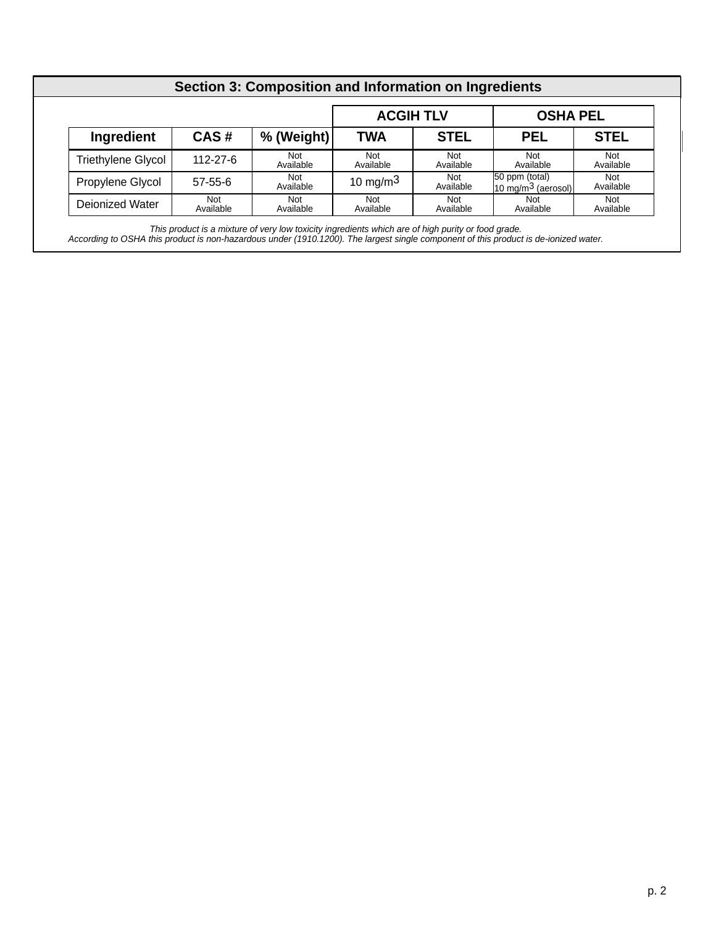| Section 3: Composition and Information on Ingredients |                  |                         |                  |                  |                                                 |                         |
|-------------------------------------------------------|------------------|-------------------------|------------------|------------------|-------------------------------------------------|-------------------------|
|                                                       |                  | <b>ACGIH TLV</b>        |                  | <b>OSHA PEL</b>  |                                                 |                         |
| Ingredient                                            | CAS#             | % (Weight)              | <b>TWA</b>       | <b>STEL</b>      | <b>PEL</b>                                      | <b>STEL</b>             |
| <b>Triethylene Glycol</b>                             | $112 - 27 - 6$   | Not<br>Available        | Not<br>Available | Not<br>Available | <b>Not</b><br>Available                         | <b>Not</b><br>Available |
| Propylene Glycol                                      | $57 - 55 - 6$    | <b>Not</b><br>Available | 10 mg/m $3$      | Not<br>Available | 50 ppm (total)<br>$10 \text{ mg/m}^3$ (aerosol) | Not<br>Available        |
| Deionized Water                                       | Not<br>Available | <b>Not</b><br>Available | Not<br>Available | Not<br>Available | Not<br>Available                                | <b>Not</b><br>Available |

This product is a mixture of very low toxicity ingredients which are of high purity or food grade. According to OSHA this product is non-hazardous under (1910.1200). The largest single component of this product is de-ionized water.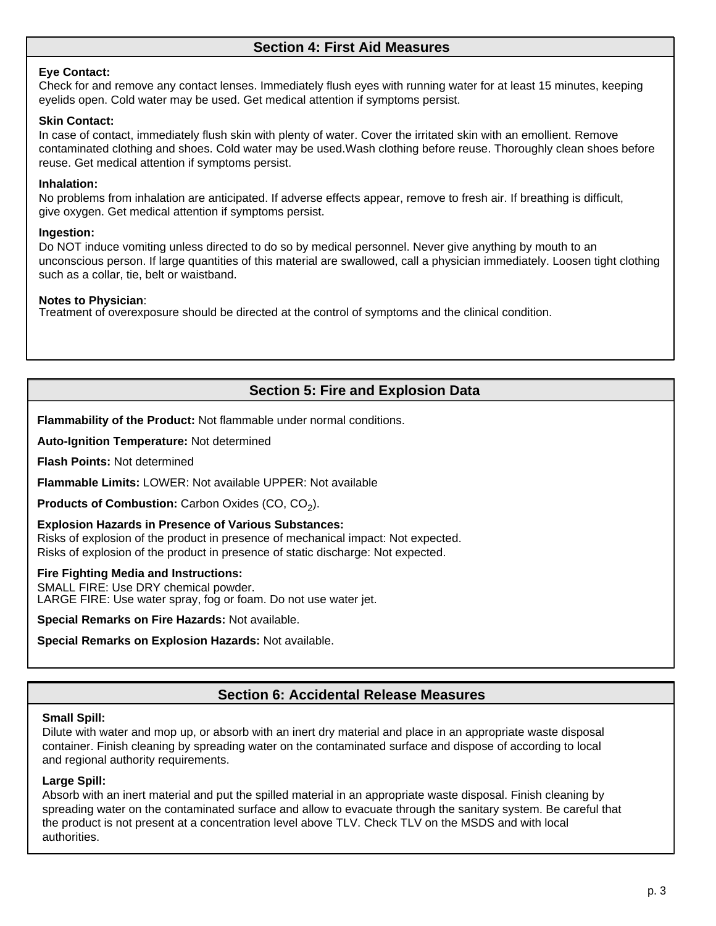### **Section 4: First Aid Measures**

### **Eye Contact:**

Check for and remove any contact lenses. Immediately flush eyes with running water for at least 15 minutes, keeping eyelids open. Cold water may be used. Get medical attention if symptoms persist.

### **Skin Contact:**

In case of contact, immediately flush skin with plenty of water. Cover the irritated skin with an emollient. Remove contaminated clothing and shoes. Cold water may be used.Wash clothing before reuse. Thoroughly clean shoes before reuse. Get medical attention if symptoms persist.

### **Inhalation:**

No problems from inhalation are anticipated. If adverse effects appear, remove to fresh air. If breathing is difficult, give oxygen. Get medical attention if symptoms persist.

### **Ingestion:**

Do NOT induce vomiting unless directed to do so by medical personnel. Never give anything by mouth to an unconscious person. If large quantities of this material are swallowed, call a physician immediately. Loosen tight clothing such as a collar, tie, belt or waistband.

### **Notes to Physician**:

Treatment of overexposure should be directed at the control of symptoms and the clinical condition.

## **Section 5: Fire and Explosion Data**

**Flammability of the Product:** Not flammable under normal conditions.

**Auto-Ignition Temperature:** Not determined

**Flash Points:** Not determined

**Flammable Limits:** LOWER: Not available UPPER: Not available

**Products of Combustion:** Carbon Oxides (CO, CO<sub>2</sub>).

#### **Explosion Hazards in Presence of Various Substances:**

Risks of explosion of the product in presence of mechanical impact: Not expected. Risks of explosion of the product in presence of static discharge: Not expected.

#### **Fire Fighting Media and Instructions:**

SMALL FIRE: Use DRY chemical powder. LARGE FIRE: Use water spray, fog or foam. Do not use water jet.

**Special Remarks on Fire Hazards:** Not available.

**Special Remarks on Explosion Hazards:** Not available.

### **Section 6: Accidental Release Measures**

#### **Small Spill:**

Dilute with water and mop up, or absorb with an inert dry material and place in an appropriate waste disposal container. Finish cleaning by spreading water on the contaminated surface and dispose of according to local and regional authority requirements.

### **Large Spill:**

Absorb with an inert material and put the spilled material in an appropriate waste disposal. Finish cleaning by spreading water on the contaminated surface and allow to evacuate through the sanitary system. Be careful that the product is not present at a concentration level above TLV. Check TLV on the MSDS and with local authorities.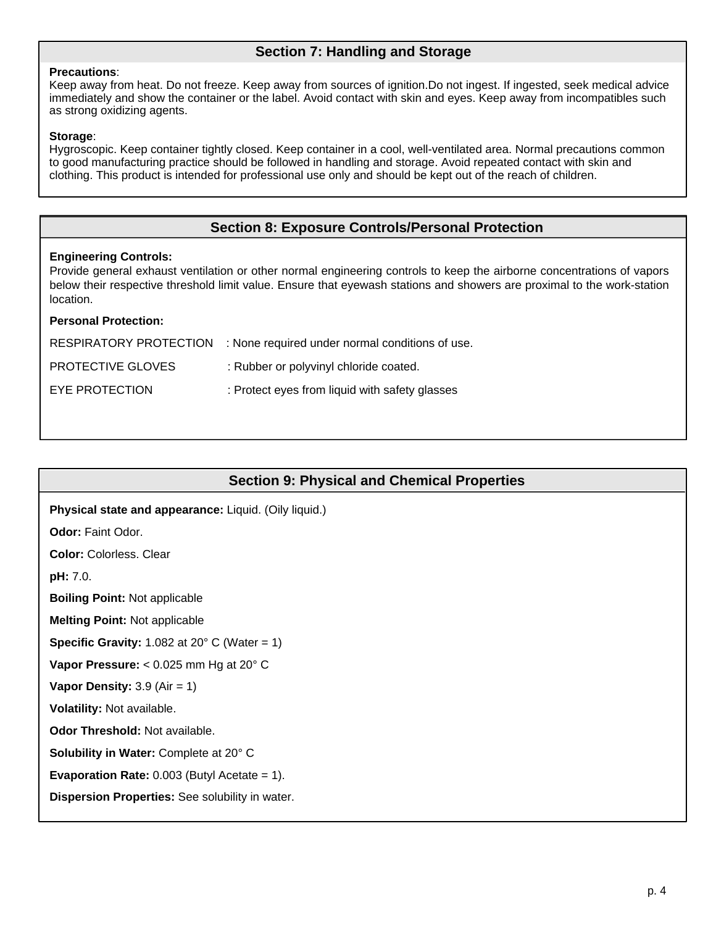## **Section 7: Handling and Storage**

#### **Precautions**:

Keep away from heat. Do not freeze. Keep away from sources of ignition.Do not ingest. If ingested, seek medical advice immediately and show the container or the label. Avoid contact with skin and eyes. Keep away from incompatibles such as strong oxidizing agents.

#### **Storage**:

Hygroscopic. Keep container tightly closed. Keep container in a cool, well-ventilated area. Normal precautions common to good manufacturing practice should be followed in handling and storage. Avoid repeated contact with skin and clothing. This product is intended for professional use only and should be kept out of the reach of children.

### **Section 8: Exposure Controls/Personal Protection**

### **Engineering Controls:**

Provide general exhaust ventilation or other normal engineering controls to keep the airborne concentrations of vapors below their respective threshold limit value. Ensure that eyewash stations and showers are proximal to the work-station location.

### **Personal Protection:**

|                          | RESPIRATORY PROTECTION : None required under normal conditions of use. |
|--------------------------|------------------------------------------------------------------------|
| <b>PROTECTIVE GLOVES</b> | : Rubber or polyvinyl chloride coated.                                 |
| EYE PROTECTION           | : Protect eyes from liquid with safety glasses                         |

|  | Section 9: Physical and Chemical Properties |  |
|--|---------------------------------------------|--|
|--|---------------------------------------------|--|

**Physical state and appearance:** Liquid. (Oily liquid.) **Odor:** Faint Odor. **Color:** Colorless. Clear **pH:** 7.0. **Boiling Point:** Not applicable **Melting Point:** Not applicable **Specific Gravity:** 1.082 at 20 $^{\circ}$  C (Water = 1) **Vapor Pressure:** < 0.025 mm Hg at 20° C **Vapor Density:** 3.9 (Air = 1) **Volatility:** Not available. **Odor Threshold:** Not available. **Solubility in Water:** Complete at 20° C **Evaporation Rate:** 0.003 (Butyl Acetate = 1). **Dispersion Properties:** See solubility in water.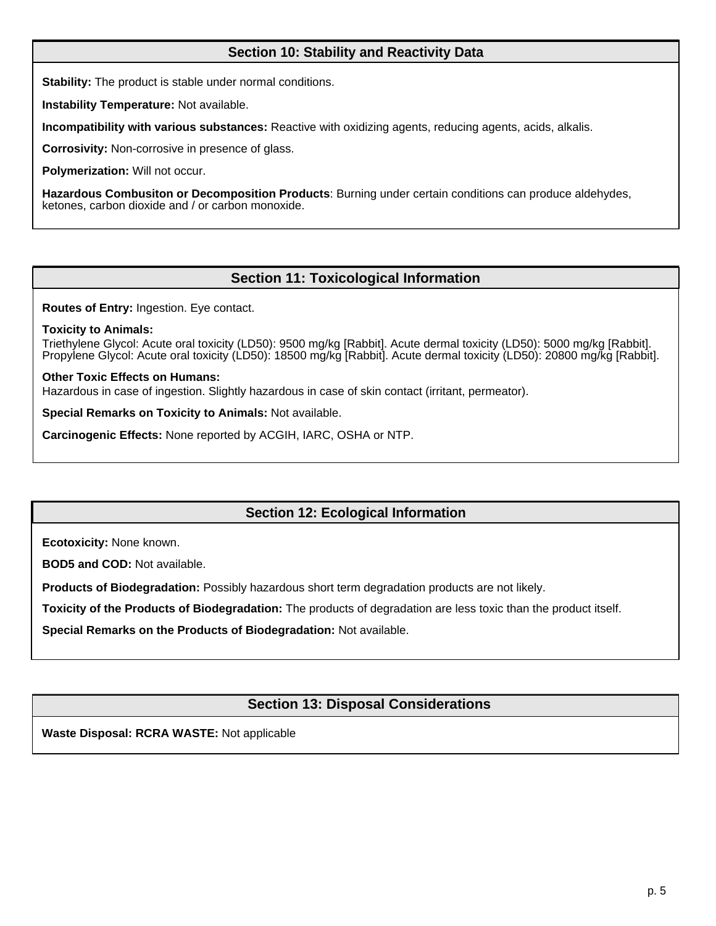### **Section 10: Stability and Reactivity Data**

**Stability:** The product is stable under normal conditions.

**Instability Temperature:** Not available.

**Incompatibility with various substances:** Reactive with oxidizing agents, reducing agents, acids, alkalis.

**Corrosivity:** Non-corrosive in presence of glass.

**Polymerization:** Will not occur.

**Hazardous Combusiton or Decomposition Products**: Burning under certain conditions can produce aldehydes, ketones, carbon dioxide and / or carbon monoxide.

### **Section 11: Toxicological Information**

**Routes of Entry:** Ingestion. Eye contact.

#### **Toxicity to Animals:**

Triethylene Glycol: Acute oral toxicity (LD50): 9500 mg/kg [Rabbit]. Acute dermal toxicity (LD50): 5000 mg/kg [Rabbit]. Propylene Glycol: Acute oral toxicity (LD50): 18500 mg/kg [Rabbit]. Acute dermal toxicity (LD50): 20800 mg/kg [Rabbit].

### **Other Toxic Effects on Humans:**

Hazardous in case of ingestion. Slightly hazardous in case of skin contact (irritant, permeator).

**Special Remarks on Toxicity to Animals:** Not available.

**Carcinogenic Effects:** None reported by ACGIH, IARC, OSHA or NTP.

### **Section 12: Ecological Information**

**Ecotoxicity:** None known.

**BOD5 and COD:** Not available.

**Products of Biodegradation:** Possibly hazardous short term degradation products are not likely.

**Toxicity of the Products of Biodegradation:** The products of degradation are less toxic than the product itself.

**Special Remarks on the Products of Biodegradation:** Not available.

### **Section 13: Disposal Considerations**

**Waste Disposal: RCRA WASTE:** Not applicable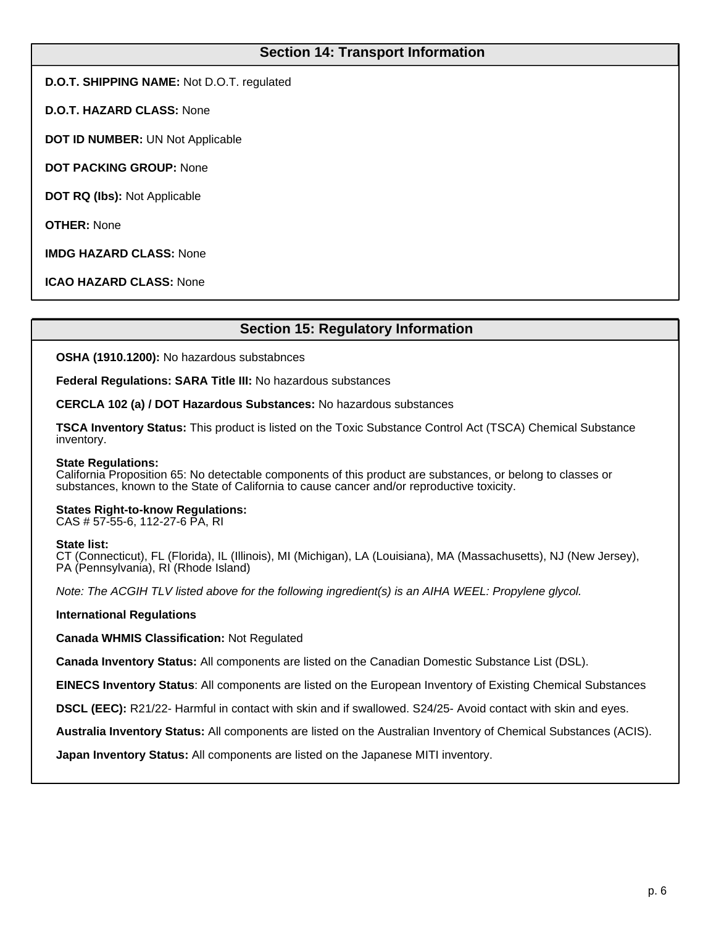### **Section 14: Transport Information**

**D.O.T. SHIPPING NAME:** Not D.O.T. regulated

**D.O.T. HAZARD CLASS:** None

**DOT ID NUMBER:** UN Not Applicable

**DOT PACKING GROUP:** None

**DOT RQ (Ibs):** Not Applicable

**OTHER:** None

**IMDG HAZARD CLASS:** None

**ICAO HAZARD CLASS:** None

### **Section 15: Regulatory Information**

**OSHA (1910.1200):** No hazardous substabnces

**Federal Regulations: SARA Title III:** No hazardous substances

**CERCLA 102 (a) / DOT Hazardous Substances:** No hazardous substances

**TSCA Inventory Status:** This product is listed on the Toxic Substance Control Act (TSCA) Chemical Substance inventory.

#### **State Regulations:**

California Proposition 65: No detectable components of this product are substances, or belong to classes or substances, known to the State of California to cause cancer and/or reproductive toxicity.

#### **States Right-to-know Regulations:**

CAS # 57-55-6, 112-27-6 PA, RI

#### **State list:**

CT (Connecticut), FL (Florida), IL (Illinois), MI (Michigan), LA (Louisiana), MA (Massachusetts), NJ (New Jersey), PA (Pennsylvania), RI (Rhode Island)

Note: The ACGIH TLV listed above for the following ingredient(s) is an AIHA WEEL: Propylene glycol.

**International Regulations**

**Canada WHMIS Classification:** Not Regulated

**Canada Inventory Status:** All components are listed on the Canadian Domestic Substance List (DSL).

**EINECS Inventory Status**: All components are listed on the European Inventory of Existing Chemical Substances

**DSCL (EEC):** R21/22- Harmful in contact with skin and if swallowed. S24/25- Avoid contact with skin and eyes.

**Australia Inventory Status:** All components are listed on the Australian Inventory of Chemical Substances (ACIS).

**Japan Inventory Status:** All components are listed on the Japanese MITI inventory.